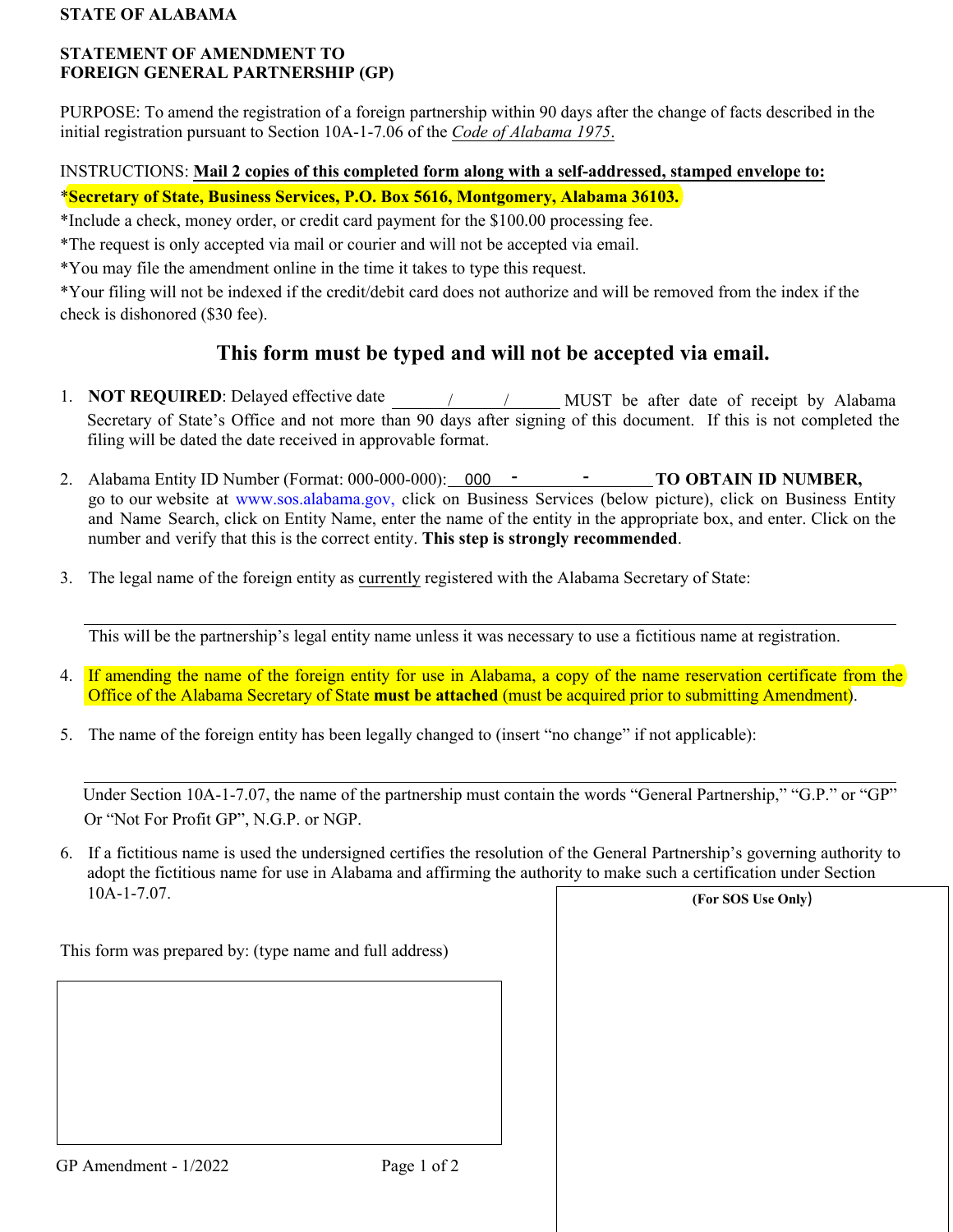### **STATE OF ALABAMA**

### **STATEMENT OF AMENDMENT TO FOREIGN GENERAL PARTNERSHIP (GP)**

PURPOSE: To amend the registration of a foreign partnership within 90 days after the change of facts described in the initial registration pursuant to Section 10A-1-7.06 of the *Code of Alabama 1975*.

# INSTRUCTIONS: **Mail 2 copies of this completed form along with a self-addressed, stamped envelope to:**

\***Secretary of State, Business Services, P.O. Box 5616, Montgomery, Alabama 36103.**

\*Include a check, money order, or credit card payment for the \$100.00 processing fee.

\*The request is only accepted via mail or courier and will not be accepted via email.

\*You may file the amendment online in the time it takes to type this request.

\*Your filing will not be indexed if the credit/debit card does not authorize and will be removed from the index if the check is dishonored (\$30 fee).

# **This form must be typed and will not be accepted via email.**

- 1. **NOT REQUIRED**: Delayed effective date <u>/ / / / MUST</u> be after date of receipt by Alabama Secretary of State's Office and not more than 90 days after signing of this document. If this is not completed the filing will be dated the date received in approvable format.
- 2. Alabama Entity ID Number (Format: 000-000-000): 000 **- Fig. 1000 - TO OBTAIN ID NUMBER**, go to our website at [www.sos.alabama.gov](http://www.sos.alabama.gov/), click on Business Services (below picture), click on Business Entity and Name Search, click on Entity Name, enter the name of the entity in the appropriate box, and enter. Click on the number and verify that this is the correct entity. **This step is strongly recommended**.
- 3. The legal name of the foreign entity as currently registered with the Alabama Secretary of State:

This will be the partnership's legal entity name unless it was necessary to use a fictitious name at registration.

- 4. If amending the name of the foreign entity for use in Alabama, a copy of the name reservation certificate from the Office of the Alabama Secretary of State **must be attached** (must be acquired prior to submitting Amendment).
- 5. The name of the foreign entity has been legally changed to (insert "no change" if not applicable):

Under Section 10A-1-7.07, the name of the partnership must contain the words "General Partnership," "G.P." or "GP" Or "Not For Profit GP", N.G.P. or NGP.

6. If a fictitious name is used the undersigned certifies the resolution of the General Partnership's governing authority to adopt the fictitious name for use in Alabama and affirming the authority to make such a certification under Section 10A-1-7.07. **(For SOS Use Only**)

This form was prepared by: (type name and full address)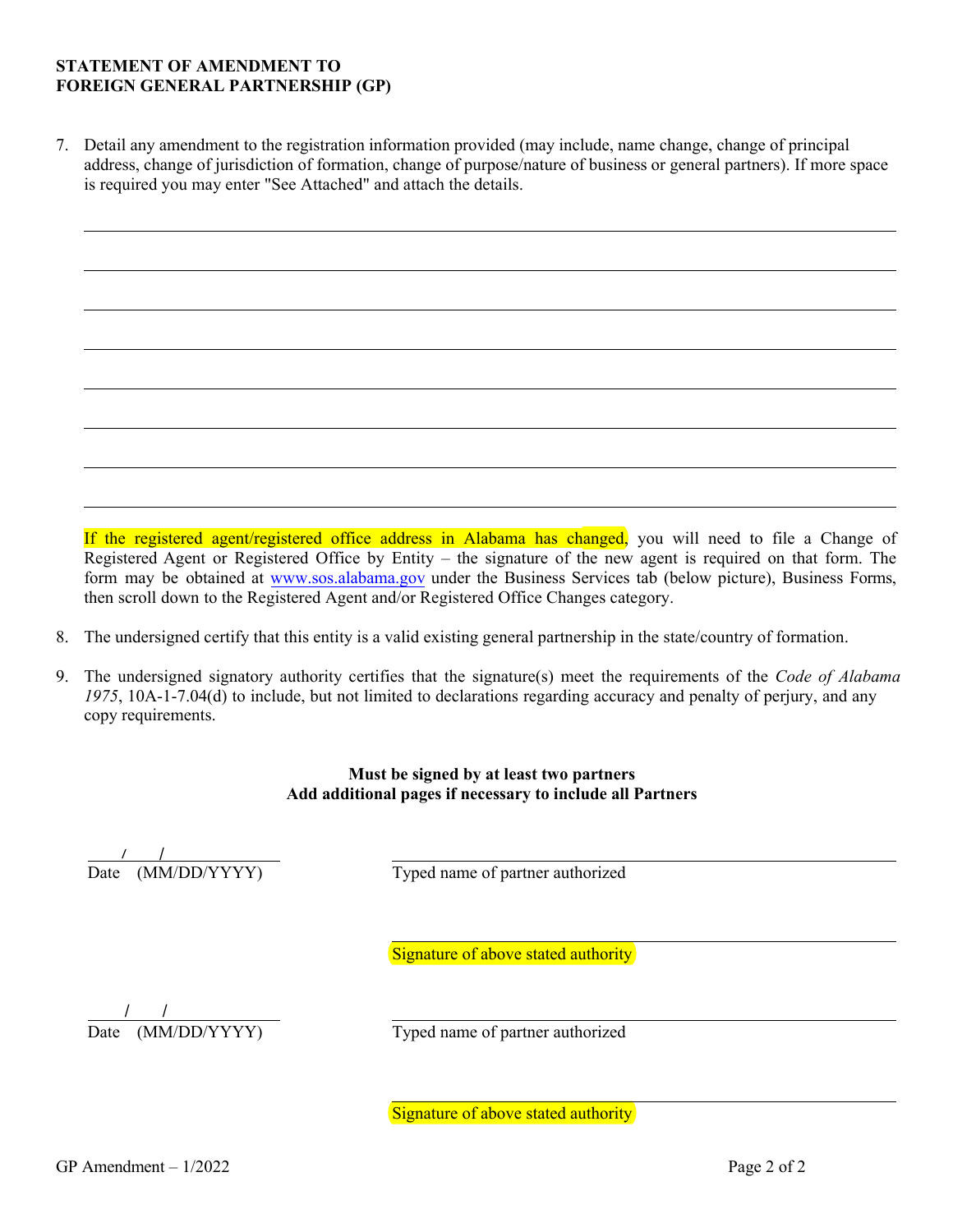#### **STATEMENT OF AMENDMENT TO FOREIGN GENERAL PARTNERSHIP (GP)**

7. Detail any amendment to the registration information provided (may include, name change, change of principal address, change of jurisdiction of formation, change of purpose/nature of business or general partners). If more space is required you may enter "See Attached" and attach the details.

If the registered agent/registered office address in Alabama has changed, you will need to file a Change of Registered Agent or Registered Office by Entity – the signature of the new agent is required on that form. The form may be obtained at [www.sos.alabama.gov](http://www.sos.alabama.gov/) under the Business Services tab (below picture), Business Forms, then scroll down to the Registered Agent and/or Registered Office Changes category.

- 8. The undersigned certify that this entity is a valid existing general partnership in the state/country of formation.
- 9. The undersigned signatory authority certifies that the signature(s) meet the requirements of the *Code of Alabama 1975*, 10A-1-7.04(d) to include, but not limited to declarations regarding accuracy and penalty of perjury, and any copy requirements.

### **Must be signed by at least two partners Add additional pages if necessary to include all Partners**

Date (MM/DD/YYYY)

Typed name of partner authorized

Signature of above stated authority

Date (MM/DD/YYYY) Typed name of partner authorized / /

Signature of above stated authority